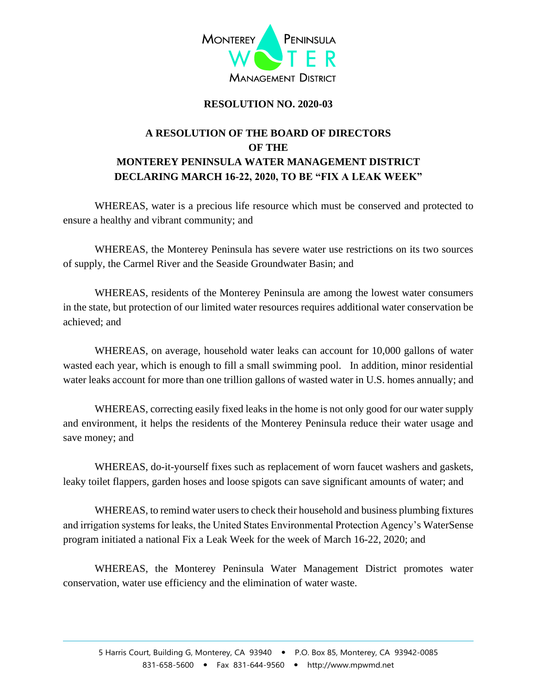

## **RESOLUTION NO. 2020-03**

## **A RESOLUTION OF THE BOARD OF DIRECTORS OF THE MONTEREY PENINSULA WATER MANAGEMENT DISTRICT DECLARING MARCH 16-22, 2020, TO BE "FIX A LEAK WEEK"**

WHEREAS, water is a precious life resource which must be conserved and protected to ensure a healthy and vibrant community; and

WHEREAS, the Monterey Peninsula has severe water use restrictions on its two sources of supply, the Carmel River and the Seaside Groundwater Basin; and

WHEREAS, residents of the Monterey Peninsula are among the lowest water consumers in the state, but protection of our limited water resources requires additional water conservation be achieved; and

WHEREAS, on average, household water leaks can account for 10,000 gallons of water wasted each year, which is enough to fill a small swimming pool. In addition, minor residential water leaks account for more than one trillion gallons of wasted water in U.S. homes annually; and

WHEREAS, correcting easily fixed leaks in the home is not only good for our water supply and environment, it helps the residents of the Monterey Peninsula reduce their water usage and save money; and

WHEREAS, do-it-yourself fixes such as replacement of worn faucet washers and gaskets, leaky toilet flappers, garden hoses and loose spigots can save significant amounts of water; and

WHEREAS, to remind water users to check their household and business plumbing fixtures and irrigation systems for leaks, the United States Environmental Protection Agency's WaterSense program initiated a national Fix a Leak Week for the week of March 16-22, 2020; and

WHEREAS, the Monterey Peninsula Water Management District promotes water conservation, water use efficiency and the elimination of water waste.